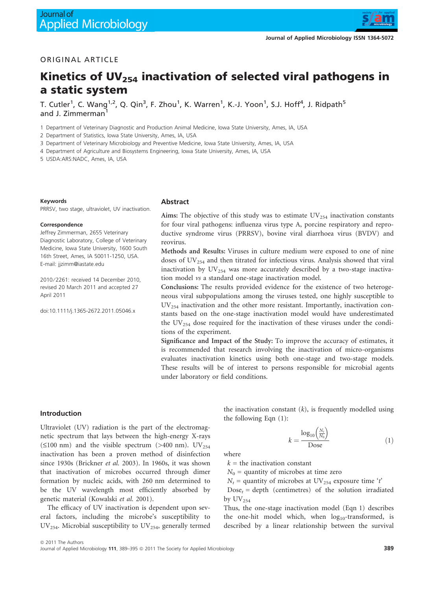

# ORIGINAL ARTICLE

# Kinetics of UV $_{254}$  inactivation of selected viral pathogens in a static system

T. Cutler $^1$ , C. Wang $^{1,2}$ , Q. Qin $^3$ , F. Zhou $^1$ , K. Warren $^1$ , K.-J. Yoon $^1$ , S.J. Hoff $^4$ , J. Ridpath $^5$ and J. Zimmerman<sup>1</sup>

1 Department of Veterinary Diagnostic and Production Animal Medicine, Iowa State University, Ames, IA, USA

2 Department of Statistics, Iowa State University, Ames, IA, USA

3 Department of Veterinary Microbiology and Preventive Medicine, Iowa State University, Ames, IA, USA

4 Department of Agriculture and Biosystems Engineering, Iowa State University, Ames, IA, USA

5 USDA:ARS:NADC, Ames, IA, USA

#### Keywords

PRRSV, two stage, ultraviolet, UV inactivation.

#### **Correspondence**

Jeffrey Zimmerman, 2655 Veterinary Diagnostic Laboratory, College of Veterinary Medicine, Iowa State University, 1600 South 16th Street, Ames, IA 50011-1250, USA. E-mail: jjzimm@iastate.edu

2010/2261: received 14 December 2010. revised 20 March 2011 and accepted 27 April 2011

doi:10.1111/j.1365-2672.2011.05046.x

#### Abstract

Aims: The objective of this study was to estimate  $UV_{254}$  inactivation constants for four viral pathogens: influenza virus type A, porcine respiratory and reproductive syndrome virus (PRRSV), bovine viral diarrhoea virus (BVDV) and reovirus.

Methods and Results: Viruses in culture medium were exposed to one of nine doses of  $UV_{254}$  and then titrated for infectious virus. Analysis showed that viral inactivation by  $UV_{254}$  was more accurately described by a two-stage inactivation model vs a standard one-stage inactivation model.

Conclusions: The results provided evidence for the existence of two heterogeneous viral subpopulations among the viruses tested, one highly susceptible to  $UV_{254}$  inactivation and the other more resistant. Importantly, inactivation constants based on the one-stage inactivation model would have underestimated the  $UV_{254}$  dose required for the inactivation of these viruses under the conditions of the experiment.

Significance and Impact of the Study: To improve the accuracy of estimates, it is recommended that research involving the inactivation of micro-organisms evaluates inactivation kinetics using both one-stage and two-stage models. These results will be of interest to persons responsible for microbial agents under laboratory or field conditions.

### Introduction

Ultraviolet (UV) radiation is the part of the electromagnetic spectrum that lays between the high-energy X-rays ( $\leq$ 100 nm) and the visible spectrum ( $>$ 400 nm). UV<sub>254</sub> inactivation has been a proven method of disinfection since 1930s (Brickner et al. 2003). In 1960s, it was shown that inactivation of microbes occurred through dimer formation by nucleic acids, with 260 nm determined to be the UV wavelength most efficiently absorbed by genetic material (Kowalski et al. 2001).

The efficacy of UV inactivation is dependent upon several factors, including the microbe's susceptibility to  $UV_{254}$ . Microbial susceptibility to  $UV_{254}$ , generally termed the inactivation constant  $(k)$ , is frequently modelled using the following Eqn (1):

$$
k = \frac{\log_{10}\left(\frac{N_t}{N_0}\right)}{\text{Dose}} \tag{1}
$$

where

 $k =$  the inactivation constant

 $N_0$  = quantity of microbes at time zero

 $N_t$  = quantity of microbes at UV<sub>254</sub> exposure time 't'

 $Dose_t = depth$  (centimetres) of the solution irradiated by  $\text{UV}_{254}$ 

Thus, the one-stage inactivation model (Eqn 1) describes the one-hit model which, when  $log_{10}$ -transformed, is described by a linear relationship between the survival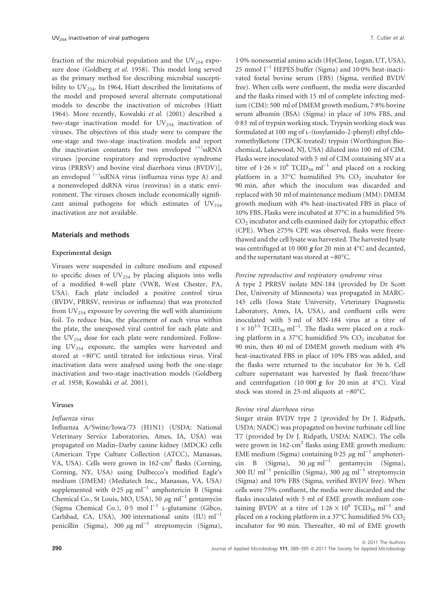fraction of the microbial population and the  $UV_{254}$  exposure dose (Goldberg et al. 1958). This model long served as the primary method for describing microbial susceptibility to  $UV_{254}$ . In 1964, Hiatt described the limitations of the model and proposed several alternate computational models to describe the inactivation of microbes (Hiatt 1964). More recently, Kowalski et al. (2001) described a two-stage inactivation model for  $UV_{254}$  inactivation of viruses. The objectives of this study were to compare the one-stage and two-stage inactivation models and report the inactivation constants for two enveloped  $(+)$ ssRNA viruses [porcine respiratory and reproductive syndrome virus (PRRSV) and bovine viral diarrhoea virus (BVDV)], an enveloped <sup>(-)</sup>ssRNA virus (influenza virus type A) and a nonenveloped dsRNA virus (reovirus) in a static environment. The viruses chosen include economically significant animal pathogens for which estimates of  $UV_{254}$ inactivation are not available.

### Materials and methods

### Experimental design

Viruses were suspended in culture medium and exposed to specific doses of  $UV_{254}$  by placing aliquots into wells of a modified 8-well plate (VWR, West Chester, PA, USA). Each plate included a positive control virus (BVDV, PRRSV, reovirus or influenza) that was protected from  $UV_{254}$  exposure by covering the well with aluminium foil. To reduce bias, the placement of each virus within the plate, the unexposed viral control for each plate and the  $UV_{254}$  dose for each plate were randomized. Following  $UV_{254}$  exposure, the samples were harvested and stored at -80°C until titrated for infectious virus. Viral inactivation data were analysed using both the one-stage inactivation and two-stage inactivation models (Goldberg et al. 1958; Kowalski et al. 2001).

#### Viruses

### Influenza virus

Influenza A/Swine/Iowa/73 (H1N1) (USDA: National Veterinary Service Laboratories, Ames, IA, USA) was propagated on Madin–Darby canine kidney (MDCK) cells (American Type Culture Collection (ATCC), Manassas, VA, USA). Cells were grown in 162-cm<sup>2</sup> flasks (Corning, Corning, NY, USA) using Dulbecco's modified Eagle's medium (DMEM) (Mediatech Inc., Manassas, VA, USA) supplemented with 0.25  $\mu$ g ml<sup>-1</sup> amphotericin B (Sigma Chemical Co., St Louis, MO, USA), 50  $\mu$ g ml<sup>-1</sup> gentamycin (Sigma Chemical Co.), 0.5 mol  $l^{-1}$  L-glutamine (Gibco, Carlsbad, CA, USA), 300 international units  $(IU)$  ml<sup>-1</sup> penicillin (Sigma), 300  $\mu$ g ml<sup>-1</sup> streptomycin (Sigma),

1·0% nonessential amino acids (HyClone, Logan, UT, USA), 25 mmol  $l^{-1}$  HEPES buffer (Sigma) and 10 $0\%$  heat-inactivated foetal bovine serum (FBS) (Sigma, verified BVDV free). When cells were confluent, the media were discarded and the flasks rinsed with 15 ml of complete infecting medium (CIM): 500 ml of DMEM growth medium, 7.8% bovine serum albumin (BSA) (Sigma) in place of 10% FBS, and 0.83 ml of trypsin working stock. Trypsin working stock was formulated at 100 mg of L-(tosylamido-2-phenyl) ethyl chloromethylketone (TPCK-treated) trypsin (Worthington Biochemical, Lakewood, NJ, USA) diluted into 100 ml of CIM. Flasks were inoculated with 5 ml of CIM containing SIV at a titre of  $1.26 \times 10^6$  TCID<sub>50</sub> ml<sup>-1</sup> and placed on a rocking platform in a 37 $\degree$ C humidified 5% CO<sub>2</sub> incubator for 90 min, after which the inoculum was discarded and replaced with 50 ml of maintenance medium (MM): DMEM growth medium with 4% heat-inactivated FBS in place of 10% FBS. Flasks were incubated at  $37^{\circ}$ C in a humidified 5% CO2 incubator and cells examined daily for cytopathic effect (CPE). When  $\geq$ 75% CPE was observed, flasks were freezethawed and the cell lysate was harvested. The harvested lysate was centrifuged at 10 000  $g$  for 20 min at 4°C and decanted, and the supernatant was stored at  $-80^{\circ}$ C.

### Porcine reproductive and respiratory syndrome virus

A type 2 PRRSV isolate MN-184 (provided by Dr Scott Dee, University of Minnesota) was propagated in MARC-145 cells (Iowa State University, Veterinary Diagnostic Laboratory, Ames, IA, USA), and confluent cells were inoculated with 5 ml of MN-184 virus at a titre of  $1 \times 10^{3.5}$  TCID<sub>50</sub> ml<sup>-1</sup>. The flasks were placed on a rocking platform in a 37°C humidified 5%  $CO<sub>2</sub>$  incubator for 90 min, then 40 ml of DMEM growth medium with 4% heat-inactivated FBS in place of 10% FBS was added, and the flasks were returned to the incubator for 36 h. Cell culture supernatant was harvested by flask freeze/thaw and centrifugation (10 000  $g$  for 20 min at 4°C). Viral stock was stored in 25-ml aliquots at  $-80^{\circ}$ C.

### Bovine viral diarrhoea virus

Singer strain BVDV type 2 (provided by Dr J. Ridpath, USDA: NADC) was propagated on bovine turbinate cell line T7 (provided by Dr J. Ridpath, USDA: NADC). The cells were grown in  $162$ -cm<sup>2</sup> flasks using EME growth medium: EME medium (Sigma) containing  $0.25 \mu g$  ml<sup>-1</sup> amphotericin B (Sigma), 50  $\mu$ g ml<sup>-1</sup> gentamycin (Sigma), 300 IU ml<sup>-1</sup> penicillin (Sigma), 300  $\mu$ g ml<sup>-1</sup> streptomycin (Sigma) and 10% FBS (Sigma, verified BVDV free). When cells were 75% confluent, the media were discarded and the flasks inoculated with 5 ml of EME growth medium containing BVDV at a titre of  $1.26 \times 10^6$  TCID<sub>50</sub> ml<sup>-1</sup> and placed on a rocking platform in a 37°C humidified 5%  $CO<sub>2</sub>$ incubator for 90 min. Thereafter, 40 ml of EME growth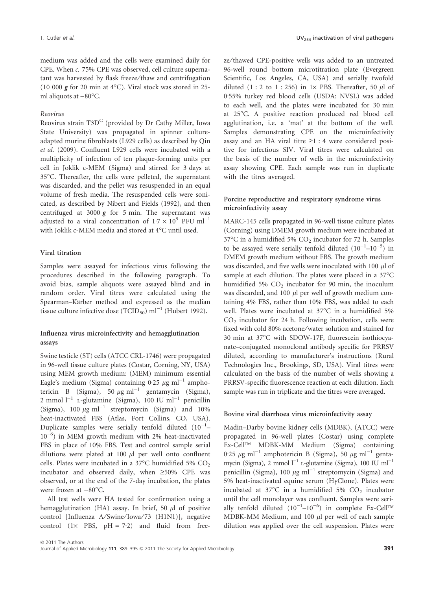medium was added and the cells were examined daily for CPE. When c. 75% CPE was observed, cell culture supernatant was harvested by flask freeze/thaw and centrifugation  $(10\ 000\ g\ for\ 20\ min$  at  $4^{\circ}$ C). Viral stock was stored in 25ml aliquots at  $-80^{\circ}$ C.

### Reovirus

Reovirus strain T3D<sup>C</sup> (provided by Dr Cathy Miller, Iowa State University) was propagated in spinner cultureadapted murine fibroblasts (L929 cells) as described by Qin et al. (2009). Confluent L929 cells were incubated with a multiplicity of infection of ten plaque-forming units per cell in Joklik c-MEM (Sigma) and stirred for 3 days at 35-C. Thereafter, the cells were pelleted, the supernatant was discarded, and the pellet was resuspended in an equal volume of fresh media. The resuspended cells were sonicated, as described by Nibert and Fields (1992), and then centrifuged at 3000  $g$  for 5 min. The supernatant was adjusted to a viral concentration of  $1.7 \times 10^9$  PFU ml<sup>-1</sup> with Joklik c-MEM media and stored at  $4^{\circ}$ C until used.

### Viral titration

Samples were assayed for infectious virus following the procedures described in the following paragraph. To avoid bias, sample aliquots were assayed blind and in random order. Viral titres were calculated using the Spearman–Kärber method and expressed as the median tissue culture infective dose (TCID<sub>50</sub>) ml<sup>-1</sup> (Hubert 1992).

# Influenza virus microinfectivity and hemagglutination assays

Swine testicle (ST) cells (ATCC CRL-1746) were propagated in 96-well tissue culture plates (Costar, Corning, NY, USA) using MEM growth medium: (MEM) minimum essential Eagle's medium (Sigma) containing 0.25  $\mu$ g ml<sup>-1</sup> amphotericin B (Sigma), 50  $\mu$ g ml<sup>-1</sup> gentamycin (Sigma), 2 mmol  $l^{-1}$  L-glutamine (Sigma), 100 IU ml<sup>-1</sup> penicillin (Sigma), 100  $\mu$ g ml<sup>-1</sup> streptomycin (Sigma) and 10% heat-inactivated FBS (Atlas, Fort Collins, CO, USA). Duplicate samples were serially tenfold diluted  $(10^{-1} 10^{-6}$ ) in MEM growth medium with 2% heat-inactivated FBS in place of 10% FBS. Test and control sample serial dilutions were plated at 100  $\mu$ l per well onto confluent cells. Plates were incubated in a 37 $\mathrm{^{\circ}C}$  humidified 5%  $\mathrm{CO}_{2}$ incubator and observed daily, when  $\geq 50\%$  CPE was observed, or at the end of the 7-day incubation, the plates were frozen at  $-80^{\circ}$ C.

All test wells were HA tested for confirmation using a hemagglutination (HA) assay. In brief, 50  $\mu$ l of positive control [Influenza A/Swine/Iowa/73 (H1N1)], negative control  $(1 \times$  PBS,  $pH = 7.2$ ) and fluid from freeze ⁄thawed CPE-positive wells was added to an untreated 96-well round bottom microtitration plate (Evergreen Scientific, Los Angeles, CA, USA) and serially twofold diluted (1 : 2 to 1 : 256) in  $1 \times$  PBS. Thereafter, 50  $\mu$ l of 0.55% turkey red blood cells (USDA: NVSL) was added to each well, and the plates were incubated for 30 min at 25-C. A positive reaction produced red blood cell agglutination, i.e. a 'mat' at the bottom of the well. Samples demonstrating CPE on the microinfectivity assay and an HA viral titre  $\geq 1$  : 4 were considered positive for infectious SIV. Viral titres were calculated on the basis of the number of wells in the microinfectivity assay showing CPE. Each sample was run in duplicate with the titres averaged.

### Porcine reproductive and respiratory syndrome virus microinfectivity assay

MARC-145 cells propagated in 96-well tissue culture plates (Corning) using DMEM growth medium were incubated at  $37^{\circ}$ C in a humidified 5% CO<sub>2</sub> incubator for 72 h. Samples to be assayed were serially tenfold diluted  $(10^{-1}-10^{-5})$  in DMEM growth medium without FBS. The growth medium was discarded, and five wells were inoculated with 100  $\mu$ l of sample at each dilution. The plates were placed in a 37°C humidified 5%  $CO<sub>2</sub>$  incubator for 90 min, the inoculum was discarded, and 100  $\mu$ l per well of growth medium containing 4% FBS, rather than 10% FBS, was added to each well. Plates were incubated at 37°C in a humidified 5%  $CO<sub>2</sub>$  incubator for 24 h. Following incubation, cells were fixed with cold 80% acetone/water solution and stained for 30 min at 37°C with SDOW-17F, fluorescein isothiocyanate–conjugated monoclonal antibody specific for PRRSV diluted, according to manufacturer's instructions (Rural Technologies Inc., Brookings, SD, USA). Viral titres were calculated on the basis of the number of wells showing a PRRSV-specific fluorescence reaction at each dilution. Each sample was run in triplicate and the titres were averaged.

#### Bovine viral diarrhoea virus microinfectivity assay

Madin–Darby bovine kidney cells (MDBK), (ATCC) were propagated in 96-well plates (Costar) using complete Ex-Cell<sup>TM</sup> MDBK-MM Medium (Sigma) containing 0.25  $\mu$ g ml<sup>-1</sup> amphotericin B (Sigma), 50  $\mu$ g ml<sup>-1</sup> gentamycin (Sigma), 2 mmol  $l^{-1}$  L-glutamine (Sigma), 100 IU ml<sup>-1</sup> penicillin (Sigma), 100  $\mu$ g ml<sup>-1</sup> streptomycin (Sigma) and 5% heat-inactivated equine serum (HyClone). Plates were incubated at  $37^{\circ}$ C in a humidified  $5\%$  CO<sub>2</sub> incubator until the cell monolayer was confluent. Samples were serially tenfold diluted  $(10^{-1}-10^{-6})$  in complete Ex-Cell<sup>TM</sup> MDBK-MM Medium, and 100  $\mu$ l per well of each sample dilution was applied over the cell suspension. Plates were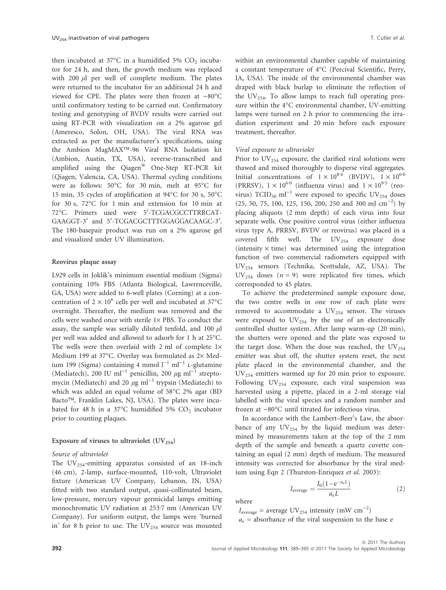then incubated at 37 $\mathrm{^{\circ}C}$  in a humidified 5%  $\mathrm{CO}_2$  incubator for 24 h, and then, the growth medium was replaced with 200  $\mu$ l per well of complete medium. The plates were returned to the incubator for an additional 24 h and viewed for CPE. The plates were then frozen at  $-80^{\circ}$ C until confirmatory testing to be carried out. Confirmatory testing and genotyping of BVDV results were carried out using RT-PCR with visualization on a 2% agarose gel (Ameresco, Solon, OH, USA). The viral RNA was extracted as per the manufacturer's specifications, using the Ambion MagMAX<sup>TM</sup>-96 Viral RNA Isolation kit (Ambion, Austin, TX, USA), reverse-transcribed and amplified using the Qiagen<sup>®</sup> One-Step RT-PCR kit (Qiagen, Valencia, CA, USA). Thermal cycling conditions were as follows:  $50^{\circ}$ C for 30 min, melt at 95 $^{\circ}$ C for 15 min, 35 cycles of amplification at  $94^{\circ}$ C for 30 s, 50 $^{\circ}$ C for 30 s, 72°C for 1 min and extension for 10 min at 72-C. Primers used were 5¢-TCGACGCCTTRRCAT-GAAGGT-3' and 5'-TCGACGCTTTGGAGGACAAGC-3'. The 180-basepair product was run on a 2% agarose gel and visualized under UV illumination.

### Reovirus plaque assay

L929 cells in Joklik's minimum essential medium (Sigma) containing 10% FBS (Atlanta Biological, Lawrenceville, GA, USA) were added to 6-well plates (Corning) at a concentration of  $2 \times 10^6$  cells per well and incubated at 37°C overnight. Thereafter, the medium was removed and the cells were washed once with sterile  $1\times$  PBS. To conduct the assay, the sample was serially diluted tenfold, and 100  $\mu$ l per well was added and allowed to adsorb for  $1$  h at 25 $^{\circ}$ C. The wells were then overlaid with 2 ml of complete  $1\times$ Medium 199 at 37°C. Overlay was formulated as 2× Medium 199 (Sigma) containing 4 mmol  $l^{-1}$  ml<sup>-1</sup> L-glutamine (Mediatech), 200 IU ml<sup>-1</sup> penicillin, 200  $\mu$ g ml<sup>-1</sup> streptomycin (Mediatech) and 20  $\mu$ g ml<sup>-1</sup> trypsin (Mediatech) to which was added an equal volume of 58°C 2% agar (BD Bacto<sup>TM</sup>, Franklin Lakes, NJ, USA). The plates were incubated for 48 h in a 37 $\degree$ C humidified 5% CO<sub>2</sub> incubator prior to counting plaques.

#### Exposure of viruses to ultraviolet  $(UV_{254})$

### Source of ultraviolet

The  $UV_{254}$ -emitting apparatus consisted of an 18-inch (46 cm), 2-lamp, surface-mounted, 110-volt, Ultraviolet fixture (American UV Company, Lebanon, IN, USA) fitted with two standard output, quasi-collimated beam, low-pressure, mercury vapour germicidal lamps emitting monochromatic UV radiation at 253.7 nm (American UV Company). For uniform output, the lamps were 'burned in' for 8 h prior to use. The  $UV_{254}$  source was mounted within an environmental chamber capable of maintaining a constant temperature of 4°C (Percival Scientific, Perry, IA, USA). The inside of the environmental chamber was draped with black burlap to eliminate the reflection of the  $UV_{254}$ . To allow lamps to reach full operating pressure within the  $4^{\circ}$ C environmental chamber, UV-emitting lamps were turned on 2 h prior to commencing the irradiation experiment and 20 min before each exposure treatment, thereafter.

### Viral exposure to ultraviolet

Prior to  $UV_{254}$  exposure, the clarified viral solutions were thawed and mixed thoroughly to disperse viral aggregates. Initial concentrations of  $1 \times 10^{84}$  (BVDV),  $1 \times 10^{60}$ (PRRSV),  $1 \times 10^{60}$  (influenza virus) and  $1 \times 10^{9.5}$  (reovirus)  $TCID_{50}$  ml<sup>-1</sup> were exposed to specific UV<sub>254</sub> doses  $(25, 50, 75, 100, 125, 150, 200, 250 \text{ and } 300 \text{ mJ cm}^{-2})$  by placing aliquots (2 mm depth) of each virus into four separate wells. One positive control virus (either influenza virus type A, PRRSV, BVDV or reovirus) was placed in a covered fifth well. The  $UV_{254}$  exposure dose (intensity  $\times$  time) was determined using the integration function of two commercial radiometers equipped with UV254 sensors (Technika, Scottsdale, AZ, USA). The  $UV_{254}$  doses  $(n = 9)$  were replicated five times, which corresponded to 45 plates.

To achieve the predetermined sample exposure dose, the two centre wells in one row of each plate were removed to accommodate a  $UV_{254}$  sensor. The viruses were exposed to  $UV_{254}$  by the use of an electronically controlled shutter system. After lamp warm-up (20 min), the shutters were opened and the plate was exposed to the target dose. When the dose was reached, the  $UV_{254}$ emitter was shut off, the shutter system reset, the next plate placed in the environmental chamber, and the UV254 emitters warmed up for 20 min prior to exposure. Following  $UV_{254}$  exposure, each viral suspension was harvested using a pipette, placed in a 2-ml storage vial labelled with the viral species and a random number and frozen at  $-80^{\circ}$ C until titrated for infectious virus.

In accordance with the Lambert–Beer's Law, the absorbance of any  $UV_{254}$  by the liquid medium was determined by measurements taken at the top of the 2 mm depth of the sample and beneath a quartz cuvette containing an equal (2 mm) depth of medium. The measured intensity was corrected for absorbance by the viral medium using Eqn 2 (Thurston-Enriquez et al. 2003):

$$
I_{\text{average}} = \frac{I_0(1 - e^{-a_c L})}{a_c L} \tag{2}
$$

where

 $I_{\text{average}} = \text{average UV}_{254}$  intensity (mW  $\text{cm}^{-2}$ )  $a_e$  = absorbance of the viral suspension to the base e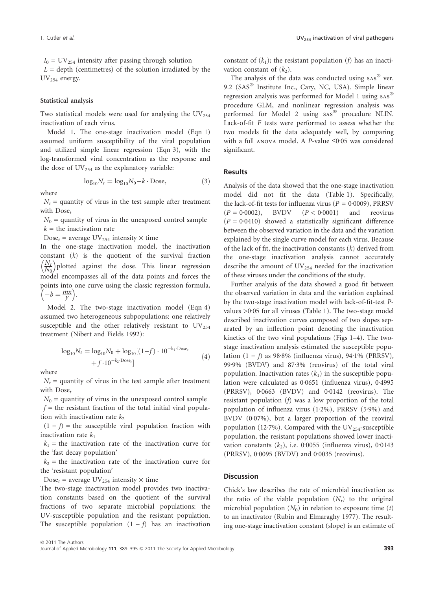$I_0$  = UV<sub>254</sub> intensity after passing through solution  $L =$  depth (centimetres) of the solution irradiated by the  $UV_{254}$  energy.

### Statistical analysis

Two statistical models were used for analysing the  $UV_{254}$ inactivation of each virus.

Model 1. The one-stage inactivation model (Eqn 1) assumed uniform susceptibility of the viral population and utilized simple linear regression (Eqn 3), with the log-transformed viral concentration as the response and the dose of  $UV_{254}$  as the explanatory variable:

$$
\log_{10} N_t = \log_{10} N_0 - k \cdot \text{Dose}_t \tag{3}
$$

where

 $N_t$  = quantity of virus in the test sample after treatment with Dose<sub>t</sub>

 $N_0$  = quantity of virus in the unexposed control sample  $k =$  the inactivation rate

Dose<sub>t</sub> = average UV<sub>254</sub> intensity  $\times$  time

In the one-stage inactivation model, the inactivation constant  $(k)$  is the quotient of the survival fraction  $\frac{N_t}{t}$  $N_0$  $\left(\frac{N_t}{N_c}\right)$  plotted against the dose. This linear regression model encompasses all of the data points and forces the points into one curve using the classic regression formula, omis mio c

Model 2. The two-stage inactivation model (Eqn 4) assumed two heterogeneous subpopulations: one relatively susceptible and the other relatively resistant to  $UV_{254}$ treatment (Nibert and Fields 1992):

$$
\log_{10} N_t = \log_{10} N_0 + \log_{10} [(1-f) \cdot 10^{-k_1 \cdot \text{Dose}_t} + f \cdot 10^{-k_2 \cdot \text{Dose}_t}] \tag{4}
$$

where

 $N_t$  = quantity of virus in the test sample after treatment with  $Dose_t$ 

 $N_0$  = quantity of virus in the unexposed control sample  $f =$  the resistant fraction of the total initial viral population with inactivation rate  $k<sub>2</sub>$ 

 $(1 - f)$  = the susceptible viral population fraction with inactivation rate  $k_1$ 

 $k_1$  = the inactivation rate of the inactivation curve for the 'fast decay population'

 $k_2$  = the inactivation rate of the inactivation curve for the 'resistant population'

Dose<sub>t</sub> = average UV<sub>254</sub> intensity  $\times$  time

The two-stage inactivation model provides two inactivation constants based on the quotient of the survival fractions of two separate microbial populations: the UV-susceptible population and the resistant population. The susceptible population  $(1 - f)$  has an inactivation

constant of  $(k_1)$ ; the resistant population (f) has an inactivation constant of  $(k_2)$ .

The analysis of the data was conducted using  $sAs^{\circledR}$  ver. 9.2 (SAS<sup>®</sup> Institute Inc., Cary, NC, USA). Simple linear regression analysis was performed for Model 1 using sas procedure GLM, and nonlinear regression analysis was performed for Model 2 using sas® procedure NLIN. Lack-of-fit F tests were performed to assess whether the two models fit the data adequately well, by comparing with a full ANOVA model. A P-value  $\leq 0.05$  was considered significant.

### Results

Analysis of the data showed that the one-stage inactivation model did not fit the data (Table 1). Specifically, the lack-of-fit tests for influenza virus ( $P = 0.0009$ ), PRRSV  $(P = 0.0002)$ , BVDV  $(P < 0.0001)$  and reovirus  $(P = 0.0410)$  showed a statistically significant difference between the observed variation in the data and the variation explained by the single curve model for each virus. Because of the lack of fit, the inactivation constants  $(k)$  derived from the one-stage inactivation analysis cannot accurately describe the amount of  $UV_{254}$  needed for the inactivation of these viruses under the conditions of the study.

Further analysis of the data showed a good fit between the observed variation in data and the variation explained by the two-stage inactivation model with lack-of-fit-test Pvalues  $>0.05$  for all viruses (Table 1). The two-stage model described inactivation curves composed of two slopes separated by an inflection point denoting the inactivation kinetics of the two viral populations (Figs 1–4). The twostage inactivation analysis estimated the susceptible population  $(1 - f)$  as 98.8% (influenza virus), 94.1% (PRRSV), 99.9% (BVDV) and 87.3% (reovirus) of the total viral population. Inactivation rates  $(k_1)$  in the susceptible population were calculated as  $0.0651$  (influenza virus),  $0.4995$ (PRRSV),  $0.0663$  (BVDV) and  $0.0142$  (reovirus). The resistant population (f) was a low proportion of the total population of influenza virus  $(1.2\%)$ , PRRSV  $(5.9\%)$  and BVDV (0.07%), but a larger proportion of the reoviral population (12.7%). Compared with the UV<sub>254</sub>-susceptible population, the resistant populations showed lower inactivation constants  $(k_2)$ , i.e. 0.0055 (influenza virus), 0.0143 (PRRSV),  $0.0095$  (BVDV) and  $0.0035$  (reovirus).

### **Discussion**

Chick's law describes the rate of microbial inactivation as the ratio of the viable population  $(N_t)$  to the original microbial population  $(N_0)$  in relation to exposure time  $(t)$ to an inactivator (Rubin and Elmaraghy 1977). The resulting one-stage inactivation constant (slope) is an estimate of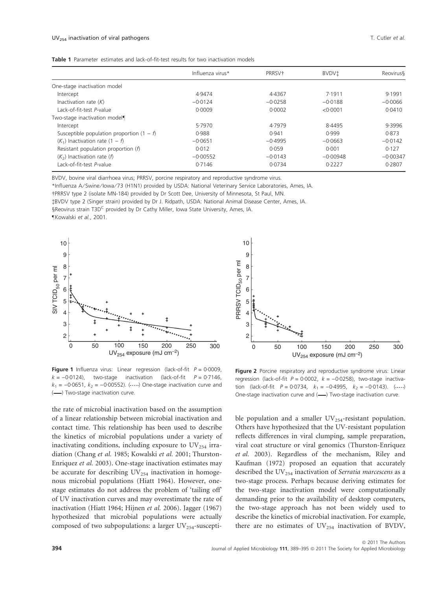| <b>Table 1</b> Parameter estimates and lack-of-fit-test results for two inactivation models |
|---------------------------------------------------------------------------------------------|
|---------------------------------------------------------------------------------------------|

|                                             | Influenza virus* | PRRSV <sup>+</sup> | <b>BVDVi</b> | <b>Reovirus</b> |
|---------------------------------------------|------------------|--------------------|--------------|-----------------|
| One-stage inactivation model                |                  |                    |              |                 |
| Intercept                                   | 4.9474           | 4.4367             | 7.1911       | 9.1991          |
| Inactivation rate $(K)$                     | $-0.0124$        | $-0.0258$          | $-0.0188$    | $-0.0066$       |
| Lack-of-fit-test P-value                    | 0.0009           | 0.0002             | < 0.0001     | 0.0410          |
| Two-stage inactivation model                |                  |                    |              |                 |
| Intercept                                   | 5.7970           | 4.7979             | 8.4495       | 9.3996          |
| Susceptible population proportion $(1 - f)$ | 0.988            | 0.941              | 0.999        | 0.873           |
| $(K_1)$ Inactivation rate $(1 - f)$         | $-0.0651$        | $-0.4995$          | $-0.0663$    | $-0.0142$       |
| Resistant population proportion $(f)$       | 0.012            | 0.059              | 0.001        | 0.127           |
| $(K2)$ Inactivation rate $(f)$              | $-0.00552$       | $-0.0143$          | $-0.00948$   | $-0.00347$      |
| Lack-of-fit-test P-value                    | 0.7146           | 0.0734             | 0.2227       | 0.2807          |

10

BVDV, bovine viral diarrhoea virus; PRRSV, porcine respiratory and reproductive syndrome virus.

\*Influenza A ⁄ Swine ⁄ Iowa ⁄ 73 (H1N1) provided by USDA: National Veterinary Service Laboratories, Ames, IA.

-PRRSV type 2 (isolate MN-184) provided by Dr Scott Dee, University of Minnesota, St Paul, MN. BVDV type 2 (Singer strain) provided by Dr J. Ridpath, USDA: National Animal Disease Center, Ames, IA. §Reovirus strain T3D<sup>C</sup> provided by Dr Cathy Miller, Iowa State University, Ames, IA. –Kowalski et al., 2001.



Figure 1 Influenza virus: Linear regression (lack-of-fit  $P = 0.0009$ ,  $k = -0.0124$ ), two-stage inactivation (lack-of-fit  $P = 0.7146$ ,  $k_1 = -0.0651$ ,  $k_2 = -0.00552$ ). (....) One-stage inactivation curve and (-) Two-stage inactivation curve.

9 PRRSV TCID<sub>50</sub> per ml PRRSV TCID<sub>50</sub> per ml 8 7 6 5 4 3 2 0 300 50 100 150 200 250 UV254 exposure (mJ cm–2)

Figure 2 Porcine respiratory and reproductive syndrome virus: Linear regression (lack-of-fit  $P = 0.0002$ ,  $k = -0.0258$ ), two-stage inactivation (lack-of-fit  $P = 0.0734$ ,  $k_1 = -0.4995$ ,  $k_2 = -0.0143$ ). (  $($ ....) One-stage inactivation curve and (-) Two-stage inactivation curve.

the rate of microbial inactivation based on the assumption of a linear relationship between microbial inactivation and contact time. This relationship has been used to describe the kinetics of microbial populations under a variety of inactivating conditions, including exposure to  $UV_{254}$  irradiation (Chang et al. 1985; Kowalski et al. 2001; Thurston-Enriquez et al. 2003). One-stage inactivation estimates may be accurate for describing  $UV_{254}$  inactivation in homogenous microbial populations (Hiatt 1964). However, onestage estimates do not address the problem of 'tailing off' of UV inactivation curves and may overestimate the rate of inactivation (Hiatt 1964; Hijnen et al. 2006). Jagger (1967) hypothesized that microbial populations were actually composed of two subpopulations: a larger  $UV_{254}$ -suscepti-

ble population and a smaller  $UV_{254}$ -resistant population. Others have hypothesized that the UV-resistant population reflects differences in viral clumping, sample preparation, viral coat structure or viral genomics (Thurston-Enriquez et al. 2003). Regardless of the mechanism, Riley and Kaufman (1972) proposed an equation that accurately described the  $UV_{254}$  inactivation of Serratia marcescens as a two-stage process. Perhaps because deriving estimates for the two-stage inactivation model were computationally demanding prior to the availability of desktop computers, the two-stage approach has not been widely used to describe the kinetics of microbial inactivation. For example, there are no estimates of  $UV_{254}$  inactivation of BVDV,